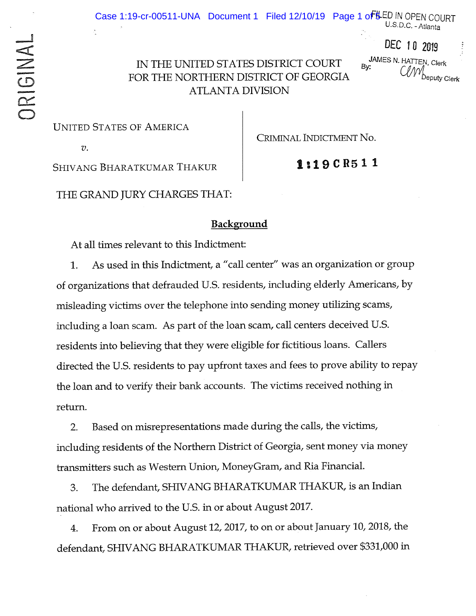U.S.D.C. -Atlanta

DEC 10 2019

IN THE UNITED STATES DISTRICT COURT By:<br>  $\begin{array}{ccc}\n\bullet & \text{JAMES N. HATTEN, Cler} \\
\bullet & \text{By:} \\
\bullet & \text{Sy:} \\
\bullet & \text{Sy:} \\
\bullet & \text{Sy:} \\
\bullet & \text{Sy:} \\
\bullet & \text{Sy:} \\
\bullet & \text{Sy:} \\
\bullet & \text{Sy:} \\
\bullet & \text{Sy:} \\
\bullet & \text{Sy:} \\
\bullet & \text{Sy:} \\
\bullet & \text{Sy:} \\
\bullet & \text{Sy:} \\
\bullet & \text{Sy:} \\$ FOR THE NORTHERN DISTRICT OF GEORGIA **ATLANTA DIVISION** 

**UNITED STATES OF AMERICA** 

*V.* 

CRIMINAL INDICTMENT No.

**1:19CR511** 

SHIVANG BHARATKUMAR THAKUR

THE GRAND JURY CHARGES THAT:

## **Background**

At all times relevant to this Indictment:

1. As used in this Indictment, a "call center" was an organization or group of organizations that defrauded U.S. residents, including elderly Americans, by misleading victims over the telephone into sending money utilizing scams, including a loan scam. As part of the loan scam, call centers deceived U.S. residents into believing that they were eligible for fictitious loans. Callers directed the U.S. residents to pay upfront taxes and fees to prove ability to repay the loan and to verify their bank accounts. The victims received nothing in return.

2. Based on misrepresentations made during the calls, the victims, including residents of the Northern District of Georgia, sent money via money transmitters such as Western Union, MoneyGram., and Ria Financial.

3. The defendant, SHIVANG BHARATKUMAR THAKUR, is an Indian national who arrived to the U.S. in or about August 2017.

4. From. on or about August 12, 2017, to on or about January 10, 2018, the defendant, SHIVANG BHARATKUMAR THAKUR, retrieved over \$331,000 in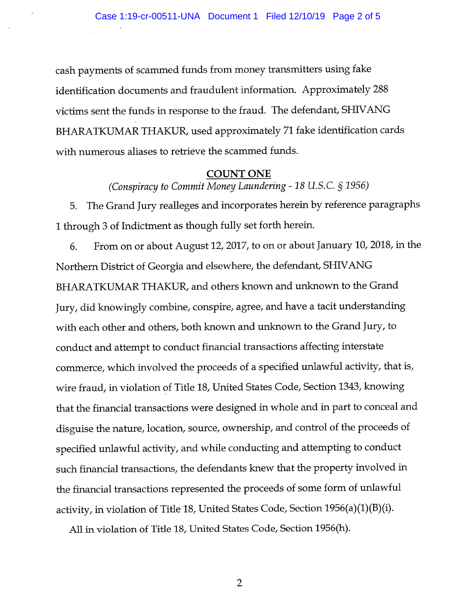cash payments of scammed funds from money transmitters using fake identification documents and fraudulent information. Approximately 288 victims sent the funds in response to the fraud. The defendant, SHIVANG BHARATKUMAR THAKUR, used approximately 71 fake identification cards with numerous aliases to retrieve the scammed funds.

## **COUNT ONE**

*(Conspiracy to Commit Money Laundering-18 U.S.C.* § *1956)* 

5. The Grand Jury realleges and incorporates herein by reference paragraphs <sup>1</sup>through 3 of Indictment as though fully set forth herein.

6. From on or about August 12, 2017, to on or about January 10, 2018, in the Northern District of Georgia and elsewhere, the defendant, SHIV ANG BHARATKUMAR THAKUR, and others known and unknown to the Grand Jury, did knowingly combine, conspire, agree, and have a tacit understanding with each other and others, both known and unknown to the Grand Jury, to conduct and attempt to conduct financial transactions affecting interstate commerce, which involved the proceeds of a specified unlawful activity, that is, wire fraud, in violation of Title 18, United States Code, Section 1343, knowing that the financial transactions were designed in whole and in part to conceal and disguise the nature, location, source, ownership, and control of the proceeds of specified unlawful activity, and while conducting and attempting to conduct such financial transactions, the defendants knew that the property involved in the financial transactions represented the proceeds of some form of unlawful activity, in violation of Title 18, United States Code, Section  $1956(a)(1)(B)(i)$ .

All in violation of Title 18, United States Code, Section 1956(h).

2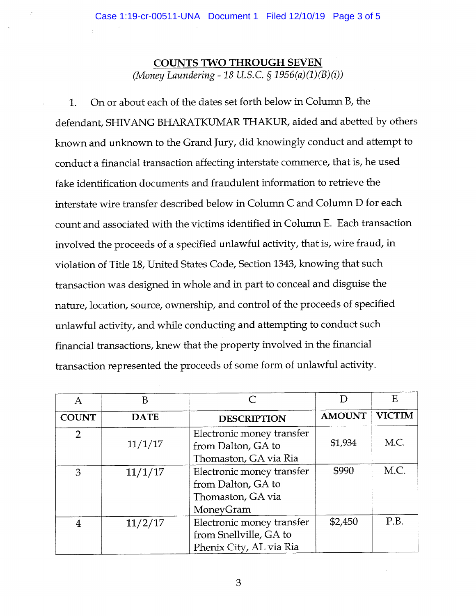## **COUNTS TWO THROUGH SEVEN**  (Money Laundering - 18 U.S.C.  $\S 1956(a)(1)(B)(i)$ )

1. On or about each of the dates set forth below in Column B, the defendant, SHIV ANG BHARATKUMAR THAKUR, aided and abetted by others known and unknown to the Grand Jury, did knowingly conduct and attempt to conduct a financial transaction affecting interstate commerce, that is, he used fake identification documents and fraudulent information to retrieve the interstate wire transfer described below in Column C and Column D for each count and associated with the victims identified in Column E. Each transaction involved the proceeds of a specified unlawful activity, that is, wire fraud, in violation of Title 18, United States Code, Section 1343, knowing that such transaction was designed in whole and in part to conceal and disguise the nature, location, source, ownership, and control of the proceeds of specified unlawful activity, and while conducting and attempting to conduct such financial transactions, knew that the property involved in the financial transaction represented the proceeds of some form of unlawful activity.

| A              | B           | $\subset$                                                                         |               | E             |
|----------------|-------------|-----------------------------------------------------------------------------------|---------------|---------------|
| <b>COUNT</b>   | <b>DATE</b> | <b>DESCRIPTION</b>                                                                | <b>AMOUNT</b> | <b>VICTIM</b> |
| $\overline{2}$ | 11/1/17     | Electronic money transfer<br>from Dalton, GA to<br>Thomaston, GA via Ria          | \$1,934       | M.C.          |
| 3              | 11/1/17     | Electronic money transfer<br>from Dalton, GA to<br>Thomaston, GA via<br>MoneyGram | \$990         | M.C.          |
| 4              | 11/2/17     | Electronic money transfer<br>from Snellville, GA to<br>Phenix City, AL via Ria    | \$2,450       | P.B.          |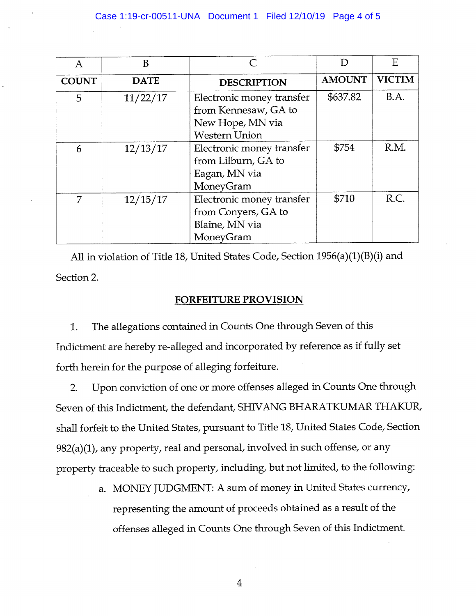| Α            | B           |                                                                                               |               | E             |
|--------------|-------------|-----------------------------------------------------------------------------------------------|---------------|---------------|
| <b>COUNT</b> | <b>DATE</b> | <b>DESCRIPTION</b>                                                                            | <b>AMOUNT</b> | <b>VICTIM</b> |
| 5            | 11/22/17    | Electronic money transfer<br>from Kennesaw, GA to<br>New Hope, MN via<br><b>Western Union</b> | \$637.82      | B.A.          |
| 6            | 12/13/17    | Electronic money transfer<br>from Lilburn, GA to<br>Eagan, MN via<br>MoneyGram                | \$754         | R.M.          |
| 7            | 12/15/17    | Electronic money transfer<br>from Conyers, GA to<br>Blaine, MN via<br>MoneyGram               | \$710         | R.C.          |

All in violation of Title 18, United States Code, Section 1956(a)(1)(B)(i) and Section 2.

## **FORFEITURE PROVISION**

1. The allegations contained in Counts One through Seven of this Indictment are hereby re-alleged and incorporated by reference as if fully set forth herein for the purpose of alleging forfeiture.

2. Upon conviction of one or more offenses alleged in Counts One through Seven of this Indictment, the defendant, SHIV ANG BHARATKUMAR THAKUR, shall forfeit to the United States, pursuant to Title 18, United States Code, Section 982(a)(1), any property, real and personal, involved in such offense, or any property traceable to such property, including, but not limited, to the following:

> a. MONEY JUDGMENT: A sum of money in United States currency, representing the amount of proceeds obtained as a result of the offenses alleged in Counts One through Seven of this Indictment.

> > 4